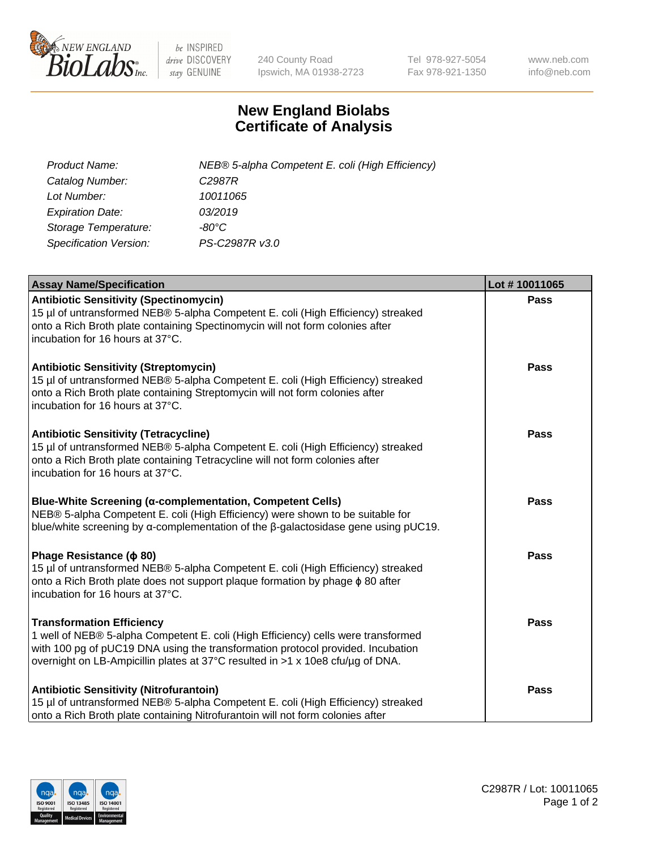

 $be$  INSPIRED drive DISCOVERY stay GENUINE

240 County Road Ipswich, MA 01938-2723 Tel 978-927-5054 Fax 978-921-1350 www.neb.com info@neb.com

## **New England Biolabs Certificate of Analysis**

| <b>Product Name:</b>          | NEB® 5-alpha Competent E. coli (High Efficiency) |
|-------------------------------|--------------------------------------------------|
| Catalog Number:               | C <sub>2987</sub> R                              |
| Lot Number:                   | 10011065                                         |
| <b>Expiration Date:</b>       | 03/2019                                          |
| Storage Temperature:          | -80°C                                            |
| <b>Specification Version:</b> | PS-C2987R v3.0                                   |

| <b>Assay Name/Specification</b>                                                                                                                                                                                                                                                            | Lot #10011065 |
|--------------------------------------------------------------------------------------------------------------------------------------------------------------------------------------------------------------------------------------------------------------------------------------------|---------------|
| <b>Antibiotic Sensitivity (Spectinomycin)</b><br>15 µl of untransformed NEB® 5-alpha Competent E. coli (High Efficiency) streaked<br>onto a Rich Broth plate containing Spectinomycin will not form colonies after<br>incubation for 16 hours at 37°C.                                     | Pass          |
| <b>Antibiotic Sensitivity (Streptomycin)</b><br>15 µl of untransformed NEB® 5-alpha Competent E. coli (High Efficiency) streaked<br>onto a Rich Broth plate containing Streptomycin will not form colonies after<br>incubation for 16 hours at 37°C.                                       | <b>Pass</b>   |
| <b>Antibiotic Sensitivity (Tetracycline)</b><br>15 µl of untransformed NEB® 5-alpha Competent E. coli (High Efficiency) streaked<br>onto a Rich Broth plate containing Tetracycline will not form colonies after<br>incubation for 16 hours at 37°C.                                       | <b>Pass</b>   |
| Blue-White Screening (α-complementation, Competent Cells)<br>NEB® 5-alpha Competent E. coli (High Efficiency) were shown to be suitable for<br>blue/white screening by a-complementation of the $\beta$ -galactosidase gene using pUC19.                                                   | <b>Pass</b>   |
| Phage Resistance ( $\phi$ 80)<br>15 µl of untransformed NEB® 5-alpha Competent E. coli (High Efficiency) streaked<br>onto a Rich Broth plate does not support plaque formation by phage $\phi$ 80 after<br>incubation for 16 hours at 37°C.                                                | <b>Pass</b>   |
| <b>Transformation Efficiency</b><br>1 well of NEB® 5-alpha Competent E. coli (High Efficiency) cells were transformed<br>with 100 pg of pUC19 DNA using the transformation protocol provided. Incubation<br>overnight on LB-Ampicillin plates at 37°C resulted in >1 x 10e8 cfu/µg of DNA. | <b>Pass</b>   |
| <b>Antibiotic Sensitivity (Nitrofurantoin)</b><br>15 µl of untransformed NEB® 5-alpha Competent E. coli (High Efficiency) streaked<br>onto a Rich Broth plate containing Nitrofurantoin will not form colonies after                                                                       | <b>Pass</b>   |